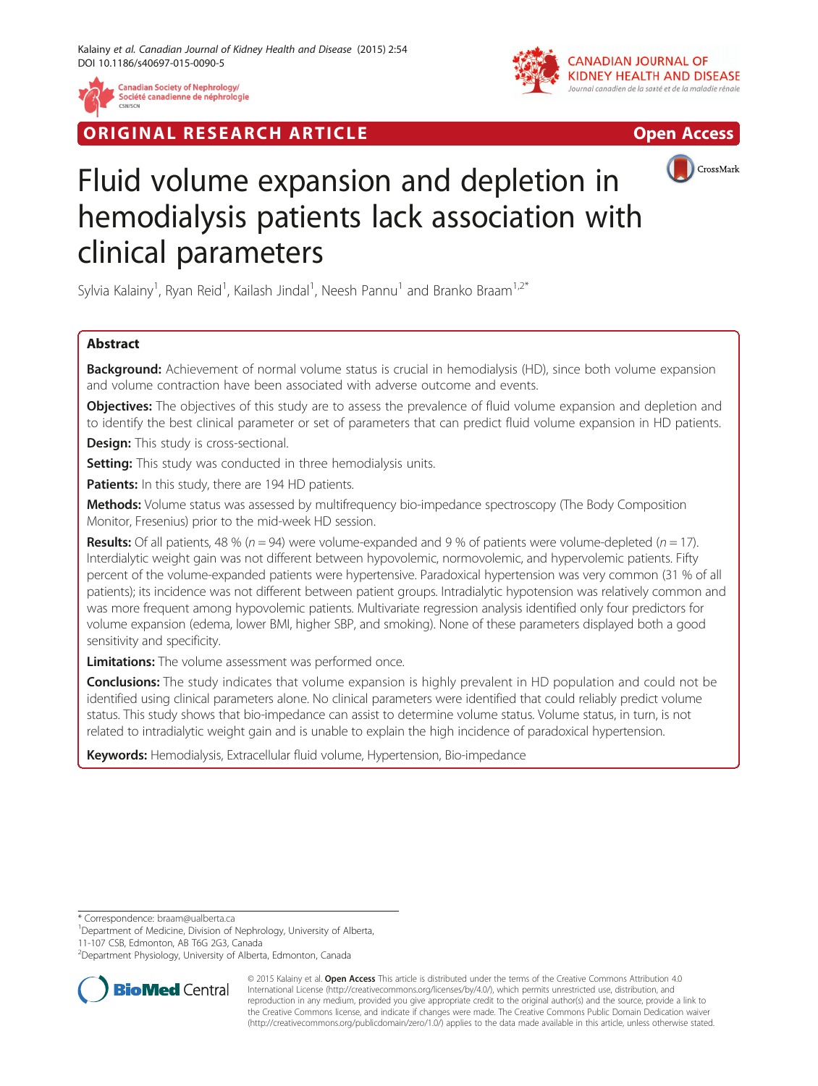

**Canadian Society of Nephrology/** Société canadienne de néphrologie

**RIGINAL RESEARCH ARTICLE CONSUMING ACCESS** 



CrossMark

# Fluid volume expansion and depletion in hemodialysis patients lack association with clinical parameters

Sylvia Kalainy<sup>1</sup>, Ryan Reid<sup>1</sup>, Kailash Jindal<sup>1</sup>, Neesh Pannu<sup>1</sup> and Branko Braam<sup>1,2\*</sup>

# Abstract

Background: Achievement of normal volume status is crucial in hemodialysis (HD), since both volume expansion and volume contraction have been associated with adverse outcome and events.

**Objectives:** The objectives of this study are to assess the prevalence of fluid volume expansion and depletion and to identify the best clinical parameter or set of parameters that can predict fluid volume expansion in HD patients.

**Design:** This study is cross-sectional.

Setting: This study was conducted in three hemodialysis units.

Patients: In this study, there are 194 HD patients.

Methods: Volume status was assessed by multifrequency bio-impedance spectroscopy (The Body Composition Monitor, Fresenius) prior to the mid-week HD session.

**Results:** Of all patients, 48 % ( $n = 94$ ) were volume-expanded and 9 % of patients were volume-depleted ( $n = 17$ ). Interdialytic weight gain was not different between hypovolemic, normovolemic, and hypervolemic patients. Fifty percent of the volume-expanded patients were hypertensive. Paradoxical hypertension was very common (31 % of all patients); its incidence was not different between patient groups. Intradialytic hypotension was relatively common and was more frequent among hypovolemic patients. Multivariate regression analysis identified only four predictors for volume expansion (edema, lower BMI, higher SBP, and smoking). None of these parameters displayed both a good sensitivity and specificity.

**Limitations:** The volume assessment was performed once.

Conclusions: The study indicates that volume expansion is highly prevalent in HD population and could not be identified using clinical parameters alone. No clinical parameters were identified that could reliably predict volume status. This study shows that bio-impedance can assist to determine volume status. Volume status, in turn, is not related to intradialytic weight gain and is unable to explain the high incidence of paradoxical hypertension.

Keywords: Hemodialysis, Extracellular fluid volume, Hypertension, Bio-impedance

\* Correspondence: [braam@ualberta.ca](mailto:braam@ualberta.ca) <sup>1</sup>

<sup>1</sup>Department of Medicine, Division of Nephrology, University of Alberta,

11-107 CSB, Edmonton, AB T6G 2G3, Canada

<sup>&</sup>lt;sup>2</sup>Department Physiology, University of Alberta, Edmonton, Canada



© 2015 Kalainy et al. Open Access This article is distributed under the terms of the Creative Commons Attribution 4.0 International License [\(http://creativecommons.org/licenses/by/4.0/](http://creativecommons.org/licenses/by/4.0/)), which permits unrestricted use, distribution, and reproduction in any medium, provided you give appropriate credit to the original author(s) and the source, provide a link to the Creative Commons license, and indicate if changes were made. The Creative Commons Public Domain Dedication waiver [\(http://creativecommons.org/publicdomain/zero/1.0/](http://creativecommons.org/publicdomain/zero/1.0/)) applies to the data made available in this article, unless otherwise stated.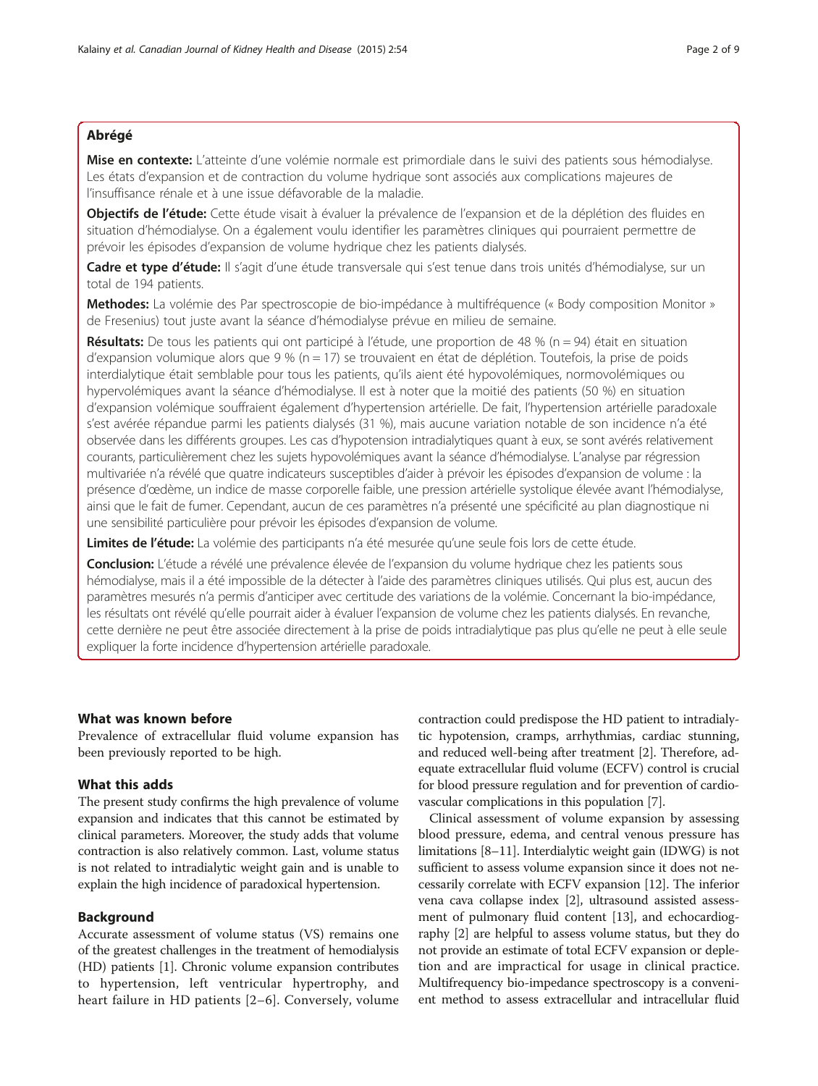## Abrégé

Mise en contexte: L'atteinte d'une volémie normale est primordiale dans le suivi des patients sous hémodialyse. Les états d'expansion et de contraction du volume hydrique sont associés aux complications majeures de l'insuffisance rénale et à une issue défavorable de la maladie.

Objectifs de l'étude: Cette étude visait à évaluer la prévalence de l'expansion et de la déplétion des fluides en situation d'hémodialyse. On a également voulu identifier les paramètres cliniques qui pourraient permettre de prévoir les épisodes d'expansion de volume hydrique chez les patients dialysés.

Cadre et type d'étude: Il s'agit d'une étude transversale qui s'est tenue dans trois unités d'hémodialyse, sur un total de 194 patients.

Methodes: La volémie des Par spectroscopie de bio-impédance à multifréquence (« Body composition Monitor » de Fresenius) tout juste avant la séance d'hémodialyse prévue en milieu de semaine.

Résultats: De tous les patients qui ont participé à l'étude, une proportion de 48 % (n = 94) était en situation d'expansion volumique alors que 9 % (n = 17) se trouvaient en état de déplétion. Toutefois, la prise de poids interdialytique était semblable pour tous les patients, qu'ils aient été hypovolémiques, normovolémiques ou hypervolémiques avant la séance d'hémodialyse. Il est à noter que la moitié des patients (50 %) en situation d'expansion volémique souffraient également d'hypertension artérielle. De fait, l'hypertension artérielle paradoxale s'est avérée répandue parmi les patients dialysés (31 %), mais aucune variation notable de son incidence n'a été observée dans les différents groupes. Les cas d'hypotension intradialytiques quant à eux, se sont avérés relativement courants, particulièrement chez les sujets hypovolémiques avant la séance d'hémodialyse. L'analyse par régression multivariée n'a révélé que quatre indicateurs susceptibles d'aider à prévoir les épisodes d'expansion de volume : la présence d'œdème, un indice de masse corporelle faible, une pression artérielle systolique élevée avant l'hémodialyse, ainsi que le fait de fumer. Cependant, aucun de ces paramètres n'a présenté une spécificité au plan diagnostique ni une sensibilité particulière pour prévoir les épisodes d'expansion de volume.

Limites de l'étude: La volémie des participants n'a été mesurée qu'une seule fois lors de cette étude.

Conclusion: L'étude a révélé une prévalence élevée de l'expansion du volume hydrique chez les patients sous hémodialyse, mais il a été impossible de la détecter à l'aide des paramètres cliniques utilisés. Qui plus est, aucun des paramètres mesurés n'a permis d'anticiper avec certitude des variations de la volémie. Concernant la bio-impédance, les résultats ont révélé qu'elle pourrait aider à évaluer l'expansion de volume chez les patients dialysés. En revanche, cette dernière ne peut être associée directement à la prise de poids intradialytique pas plus qu'elle ne peut à elle seule expliquer la forte incidence d'hypertension artérielle paradoxale.

## What was known before

Prevalence of extracellular fluid volume expansion has been previously reported to be high.

#### What this adds

The present study confirms the high prevalence of volume expansion and indicates that this cannot be estimated by clinical parameters. Moreover, the study adds that volume contraction is also relatively common. Last, volume status is not related to intradialytic weight gain and is unable to explain the high incidence of paradoxical hypertension.

## Background

Accurate assessment of volume status (VS) remains one of the greatest challenges in the treatment of hemodialysis (HD) patients [[1\]](#page-7-0). Chronic volume expansion contributes to hypertension, left ventricular hypertrophy, and heart failure in HD patients [[2](#page-7-0)–[6](#page-7-0)]. Conversely, volume

contraction could predispose the HD patient to intradialytic hypotension, cramps, arrhythmias, cardiac stunning, and reduced well-being after treatment [\[2\]](#page-7-0). Therefore, adequate extracellular fluid volume (ECFV) control is crucial for blood pressure regulation and for prevention of cardiovascular complications in this population [[7](#page-7-0)].

Clinical assessment of volume expansion by assessing blood pressure, edema, and central venous pressure has limitations [\[8](#page-8-0)–[11](#page-8-0)]. Interdialytic weight gain (IDWG) is not sufficient to assess volume expansion since it does not necessarily correlate with ECFV expansion [\[12](#page-8-0)]. The inferior vena cava collapse index [[2](#page-7-0)], ultrasound assisted assessment of pulmonary fluid content [[13\]](#page-8-0), and echocardiography [[2\]](#page-7-0) are helpful to assess volume status, but they do not provide an estimate of total ECFV expansion or depletion and are impractical for usage in clinical practice. Multifrequency bio-impedance spectroscopy is a convenient method to assess extracellular and intracellular fluid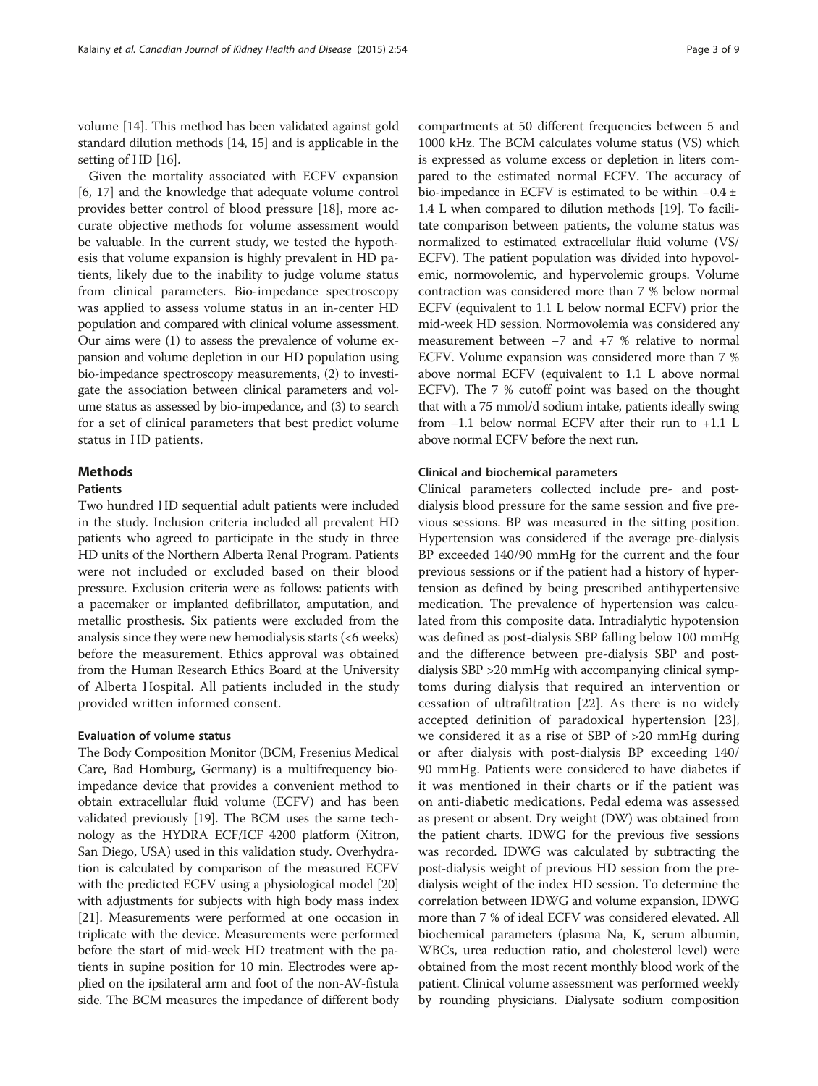volume [\[14](#page-8-0)]. This method has been validated against gold standard dilution methods [\[14, 15](#page-8-0)] and is applicable in the setting of HD [[16](#page-8-0)].

Given the mortality associated with ECFV expansion [[6,](#page-7-0) [17](#page-8-0)] and the knowledge that adequate volume control provides better control of blood pressure [[18](#page-8-0)], more accurate objective methods for volume assessment would be valuable. In the current study, we tested the hypothesis that volume expansion is highly prevalent in HD patients, likely due to the inability to judge volume status from clinical parameters. Bio-impedance spectroscopy was applied to assess volume status in an in-center HD population and compared with clinical volume assessment. Our aims were (1) to assess the prevalence of volume expansion and volume depletion in our HD population using bio-impedance spectroscopy measurements, (2) to investigate the association between clinical parameters and volume status as assessed by bio-impedance, and (3) to search for a set of clinical parameters that best predict volume status in HD patients.

## **Methods**

## Patients

Two hundred HD sequential adult patients were included in the study. Inclusion criteria included all prevalent HD patients who agreed to participate in the study in three HD units of the Northern Alberta Renal Program. Patients were not included or excluded based on their blood pressure. Exclusion criteria were as follows: patients with a pacemaker or implanted defibrillator, amputation, and metallic prosthesis. Six patients were excluded from the analysis since they were new hemodialysis starts (<6 weeks) before the measurement. Ethics approval was obtained from the Human Research Ethics Board at the University of Alberta Hospital. All patients included in the study provided written informed consent.

## Evaluation of volume status

The Body Composition Monitor (BCM, Fresenius Medical Care, Bad Homburg, Germany) is a multifrequency bioimpedance device that provides a convenient method to obtain extracellular fluid volume (ECFV) and has been validated previously [\[19\]](#page-8-0). The BCM uses the same technology as the HYDRA ECF/ICF 4200 platform (Xitron, San Diego, USA) used in this validation study. Overhydration is calculated by comparison of the measured ECFV with the predicted ECFV using a physiological model [[20](#page-8-0)] with adjustments for subjects with high body mass index [[21](#page-8-0)]. Measurements were performed at one occasion in triplicate with the device. Measurements were performed before the start of mid-week HD treatment with the patients in supine position for 10 min. Electrodes were applied on the ipsilateral arm and foot of the non-AV-fistula side. The BCM measures the impedance of different body compartments at 50 different frequencies between 5 and 1000 kHz. The BCM calculates volume status (VS) which is expressed as volume excess or depletion in liters compared to the estimated normal ECFV. The accuracy of bio-impedance in ECFV is estimated to be within −0.4 ± 1.4 L when compared to dilution methods [\[19](#page-8-0)]. To facilitate comparison between patients, the volume status was normalized to estimated extracellular fluid volume (VS/ ECFV). The patient population was divided into hypovolemic, normovolemic, and hypervolemic groups. Volume contraction was considered more than 7 % below normal ECFV (equivalent to 1.1 L below normal ECFV) prior the mid-week HD session. Normovolemia was considered any measurement between −7 and +7 % relative to normal ECFV. Volume expansion was considered more than 7 % above normal ECFV (equivalent to 1.1 L above normal ECFV). The 7 % cutoff point was based on the thought that with a 75 mmol/d sodium intake, patients ideally swing from −1.1 below normal ECFV after their run to +1.1 L above normal ECFV before the next run.

#### Clinical and biochemical parameters

Clinical parameters collected include pre- and postdialysis blood pressure for the same session and five previous sessions. BP was measured in the sitting position. Hypertension was considered if the average pre-dialysis BP exceeded 140/90 mmHg for the current and the four previous sessions or if the patient had a history of hypertension as defined by being prescribed antihypertensive medication. The prevalence of hypertension was calculated from this composite data. Intradialytic hypotension was defined as post-dialysis SBP falling below 100 mmHg and the difference between pre-dialysis SBP and postdialysis SBP >20 mmHg with accompanying clinical symptoms during dialysis that required an intervention or cessation of ultrafiltration [[22\]](#page-8-0). As there is no widely accepted definition of paradoxical hypertension [\[23](#page-8-0)], we considered it as a rise of SBP of >20 mmHg during or after dialysis with post-dialysis BP exceeding 140/ 90 mmHg. Patients were considered to have diabetes if it was mentioned in their charts or if the patient was on anti-diabetic medications. Pedal edema was assessed as present or absent. Dry weight (DW) was obtained from the patient charts. IDWG for the previous five sessions was recorded. IDWG was calculated by subtracting the post-dialysis weight of previous HD session from the predialysis weight of the index HD session. To determine the correlation between IDWG and volume expansion, IDWG more than 7 % of ideal ECFV was considered elevated. All biochemical parameters (plasma Na, K, serum albumin, WBCs, urea reduction ratio, and cholesterol level) were obtained from the most recent monthly blood work of the patient. Clinical volume assessment was performed weekly by rounding physicians. Dialysate sodium composition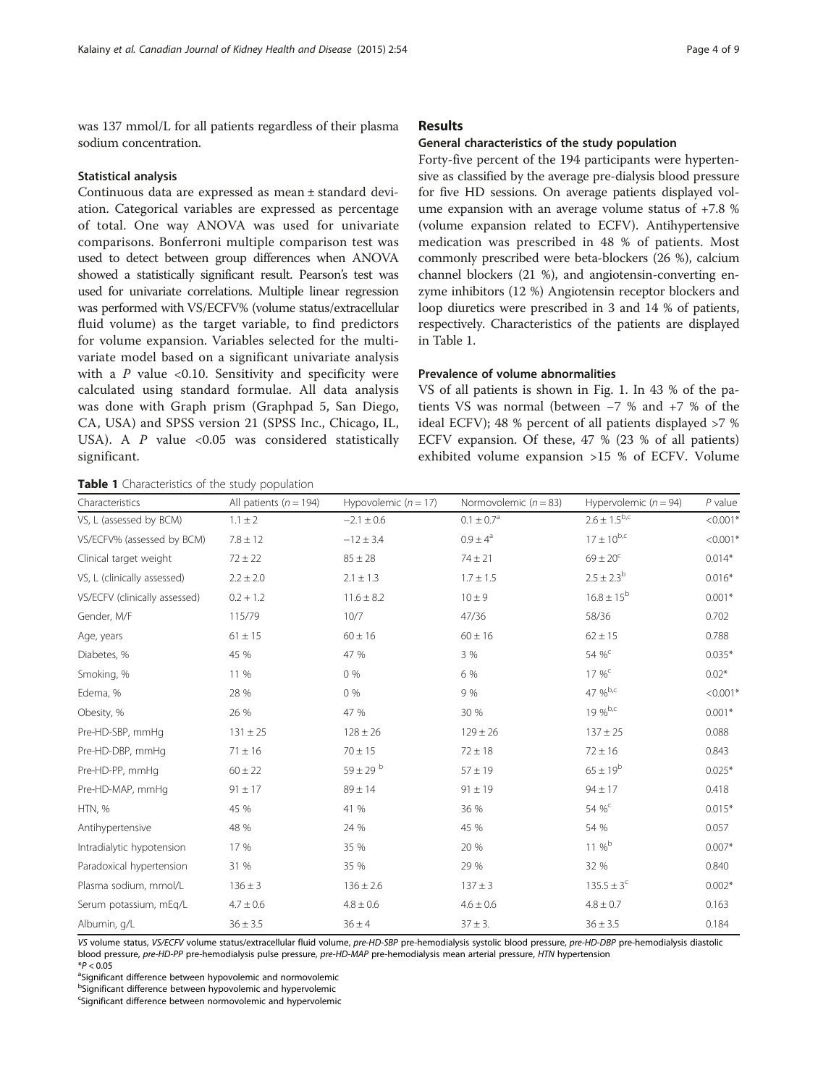was 137 mmol/L for all patients regardless of their plasma sodium concentration.

#### Statistical analysis

Continuous data are expressed as mean ± standard deviation. Categorical variables are expressed as percentage of total. One way ANOVA was used for univariate comparisons. Bonferroni multiple comparison test was used to detect between group differences when ANOVA showed a statistically significant result. Pearson's test was used for univariate correlations. Multiple linear regression was performed with VS/ECFV% (volume status/extracellular fluid volume) as the target variable, to find predictors for volume expansion. Variables selected for the multivariate model based on a significant univariate analysis with a  $P$  value <0.10. Sensitivity and specificity were calculated using standard formulae. All data analysis was done with Graph prism (Graphpad 5, San Diego, CA, USA) and SPSS version 21 (SPSS Inc., Chicago, IL, USA). A  $P$  value <0.05 was considered statistically significant.

#### Results

#### General characteristics of the study population

Forty-five percent of the 194 participants were hypertensive as classified by the average pre-dialysis blood pressure for five HD sessions. On average patients displayed volume expansion with an average volume status of +7.8 % (volume expansion related to ECFV). Antihypertensive medication was prescribed in 48 % of patients. Most commonly prescribed were beta-blockers (26 %), calcium channel blockers (21 %), and angiotensin-converting enzyme inhibitors (12 %) Angiotensin receptor blockers and loop diuretics were prescribed in 3 and 14 % of patients, respectively. Characteristics of the patients are displayed in Table 1.

## Prevalence of volume abnormalities

VS of all patients is shown in Fig. [1](#page-4-0). In 43 % of the patients VS was normal (between −7 % and +7 % of the ideal ECFV); 48 % percent of all patients displayed >7 % ECFV expansion. Of these, 47 % (23 % of all patients) exhibited volume expansion >15 % of ECFV. Volume

Table 1 Characteristics of the study population

| Characteristics               | All patients ( $n = 194$ ) | Hypovolemic $(n = 17)$ | Normovolemic $(n = 83)$ | Hypervolemic ( $n = 94$ ) | $P$ value  |
|-------------------------------|----------------------------|------------------------|-------------------------|---------------------------|------------|
| VS, L (assessed by BCM)       | $1.1 \pm 2$                | $-2.1 \pm 0.6$         | $0.1 \pm 0.7^{\rm a}$   | $2.6 \pm 1.5^{b,c}$       | $< 0.001*$ |
| VS/ECFV% (assessed by BCM)    | $7.8 \pm 12$               | $-12 \pm 3.4$          | $0.9 \pm 4^a$           | $17 \pm 10^{b,c}$         | $< 0.001*$ |
| Clinical target weight        | $72 \pm 22$                | $85 \pm 28$            | $74 \pm 21$             | $69 \pm 20^{\circ}$       | $0.014*$   |
| VS, L (clinically assessed)   | $2.2 \pm 2.0$              | $2.1 \pm 1.3$          | $1.7 \pm 1.5$           | $2.5 \pm 2.3^{b}$         | $0.016*$   |
| VS/ECFV (clinically assessed) | $0.2 + 1.2$                | $11.6 \pm 8.2$         | $10 \pm 9$              | $16.8 \pm 15^{b}$         | $0.001*$   |
| Gender, M/F                   | 115/79                     | 10/7                   | 47/36                   | 58/36                     | 0.702      |
| Age, years                    | $61 \pm 15$                | $60 \pm 16$            | $60 \pm 16$             | $62 \pm 15$               | 0.788      |
| Diabetes, %                   | 45 %                       | 47 %                   | 3 %                     | 54 % <sup>c</sup>         | $0.035*$   |
| Smoking, %                    | 11 %                       | 0%                     | 6 %                     | $17 \%$                   | $0.02*$    |
| Edema, %                      | 28 %                       | $0\%$                  | 9 %                     | 47 %b,c                   | $< 0.001*$ |
| Obesity, %                    | 26 %                       | 47 %                   | 30 %                    | $19 \%$ <sub>b,c</sub>    | $0.001*$   |
| Pre-HD-SBP, mmHq              | $131 \pm 25$               | $128 \pm 26$           | $129 \pm 26$            | $137 \pm 25$              | 0.088      |
| Pre-HD-DBP, mmHg              | $71 \pm 16$                | $70 \pm 15$            | $72 \pm 18$             | $72 \pm 16$               | 0.843      |
| Pre-HD-PP, mmHq               | $60 \pm 22$                | $59 \pm 29$ b          | $57 \pm 19$             | $65 \pm 19^{b}$           | $0.025*$   |
| Pre-HD-MAP, mmHg              | $91 \pm 17$                | $89 \pm 14$            | $91 \pm 19$             | $94 \pm 17$               | 0.418      |
| HTN, %                        | 45 %                       | 41 %                   | 36 %                    | 54 % <sup>c</sup>         | $0.015*$   |
| Antihypertensive              | 48 %                       | 24 %                   | 45 %                    | 54 %                      | 0.057      |
| Intradialytic hypotension     | 17 %                       | 35 %                   | 20 %                    | $11\%^{\rm b}$            | $0.007*$   |
| Paradoxical hypertension      | 31 %                       | 35 %                   | 29 %                    | 32 %                      | 0.840      |
| Plasma sodium, mmol/L         | $136 \pm 3$                | $136 \pm 2.6$          | $137 \pm 3$             | $135.5 \pm 3^{c}$         | $0.002*$   |
| Serum potassium, mEg/L        | $4.7 \pm 0.6$              | $4.8 \pm 0.6$          | $4.6 \pm 0.6$           | $4.8 \pm 0.7$             | 0.163      |
| Albumin, g/L                  | $36 \pm 3.5$               | $36 \pm 4$             | $37 \pm 3$ .            | $36 \pm 3.5$              | 0.184      |

VS volume status, VS/ECFV volume status/extracellular fluid volume, pre-HD-SBP pre-hemodialysis systolic blood pressure, pre-HD-DBP pre-hemodialysis diastolic blood pressure, pre-HD-PP pre-hemodialysis pulse pressure, pre-HD-MAP pre-hemodialysis mean arterial pressure, HTN hypertension

<sup>a</sup>Significant difference between hypovolemic and normovolemic

<sup>b</sup>Significant difference between hypovolemic and hypervolemic

<sup>c</sup>Significant difference between normovolemic and hypervolemic

 $*P < 0.05$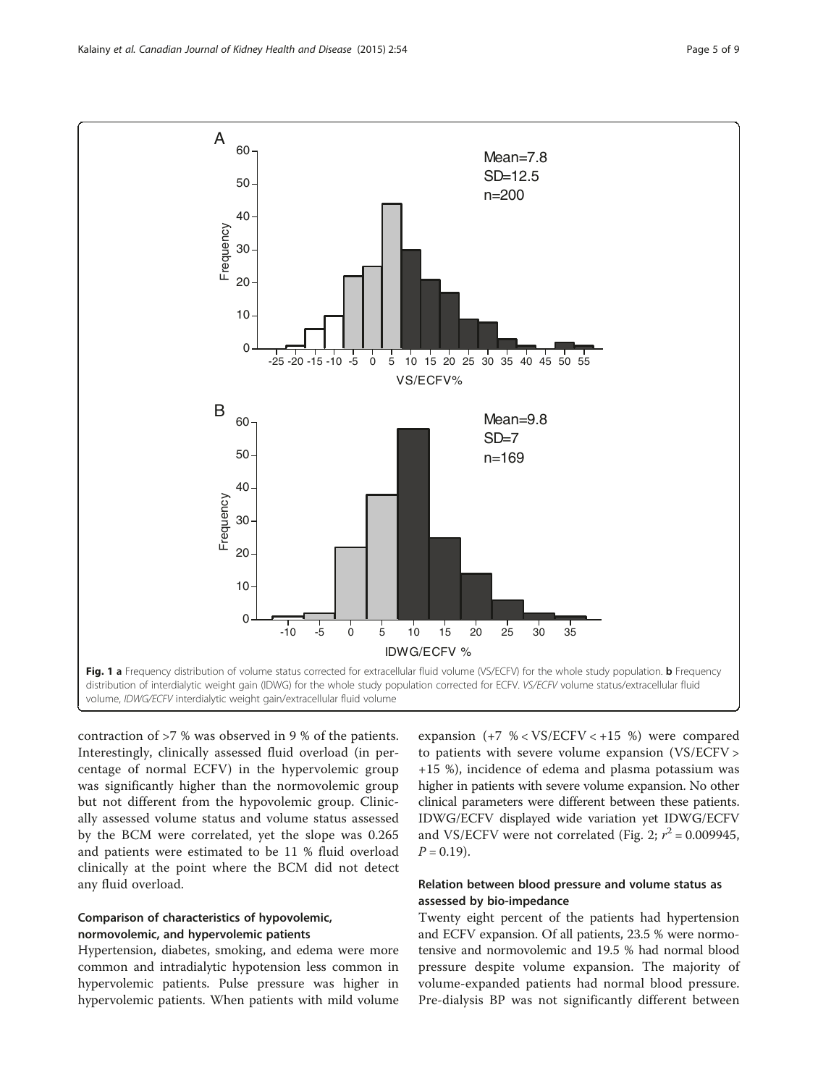<span id="page-4-0"></span>

contraction of >7 % was observed in 9 % of the patients. Interestingly, clinically assessed fluid overload (in percentage of normal ECFV) in the hypervolemic group was significantly higher than the normovolemic group but not different from the hypovolemic group. Clinically assessed volume status and volume status assessed by the BCM were correlated, yet the slope was 0.265 and patients were estimated to be 11 % fluid overload clinically at the point where the BCM did not detect any fluid overload.

## Comparison of characteristics of hypovolemic, normovolemic, and hypervolemic patients

Hypertension, diabetes, smoking, and edema were more common and intradialytic hypotension less common in hypervolemic patients. Pulse pressure was higher in hypervolemic patients. When patients with mild volume

expansion (+7 % < VS/ECFV < +15 %) were compared to patients with severe volume expansion (VS/ECFV > +15 %), incidence of edema and plasma potassium was higher in patients with severe volume expansion. No other clinical parameters were different between these patients. IDWG/ECFV displayed wide variation yet IDWG/ECFV and VS/ECFV were not correlated (Fig. [2;](#page-5-0)  $r^2 = 0.009945$ ,  $P = 0.19$ .

## Relation between blood pressure and volume status as assessed by bio-impedance

Twenty eight percent of the patients had hypertension and ECFV expansion. Of all patients, 23.5 % were normotensive and normovolemic and 19.5 % had normal blood pressure despite volume expansion. The majority of volume-expanded patients had normal blood pressure. Pre-dialysis BP was not significantly different between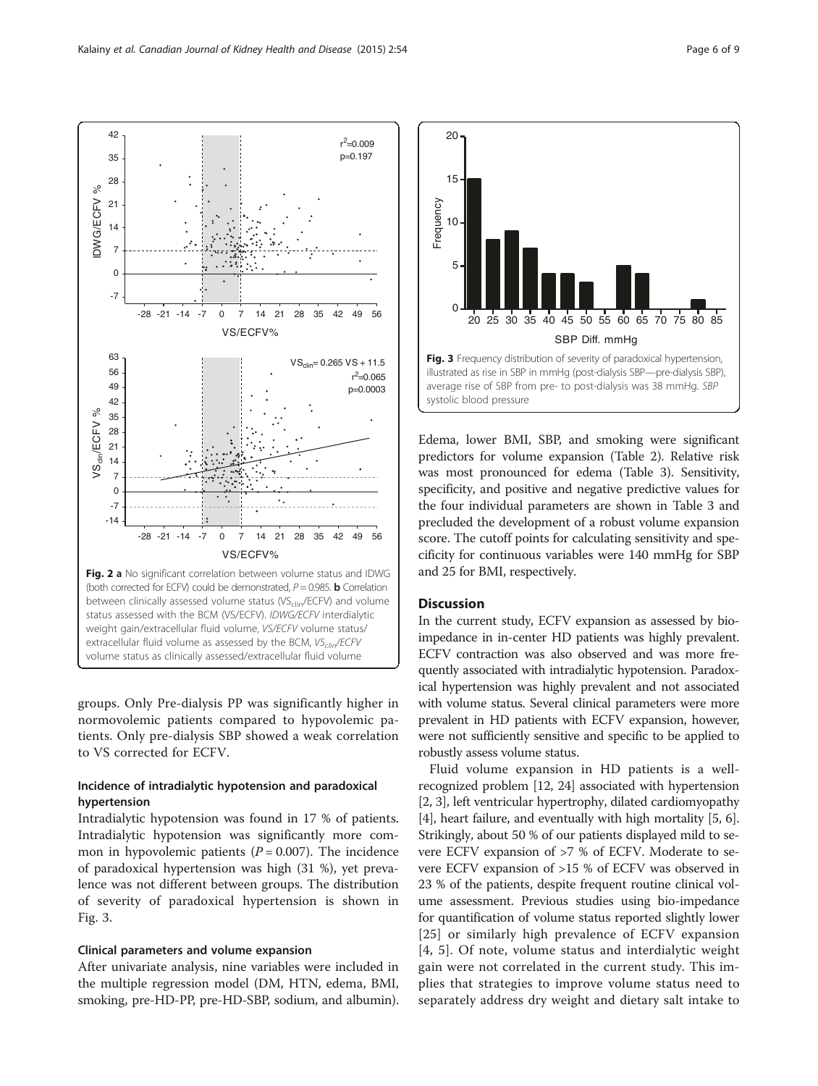groups. Only Pre-dialysis PP was significantly higher in normovolemic patients compared to hypovolemic patients. Only pre-dialysis SBP showed a weak correlation to VS corrected for ECFV.

## Incidence of intradialytic hypotension and paradoxical hypertension

Intradialytic hypotension was found in 17 % of patients. Intradialytic hypotension was significantly more common in hypovolemic patients ( $P = 0.007$ ). The incidence of paradoxical hypertension was high (31 %), yet prevalence was not different between groups. The distribution of severity of paradoxical hypertension is shown in Fig. 3.

## Clinical parameters and volume expansion

After univariate analysis, nine variables were included in the multiple regression model (DM, HTN, edema, BMI, smoking, pre-HD-PP, pre-HD-SBP, sodium, and albumin).

Edema, lower BMI, SBP, and smoking were significant predictors for volume expansion (Table [2\)](#page-6-0). Relative risk was most pronounced for edema (Table [3\)](#page-6-0). Sensitivity, specificity, and positive and negative predictive values for the four individual parameters are shown in Table [3](#page-6-0) and precluded the development of a robust volume expansion score. The cutoff points for calculating sensitivity and specificity for continuous variables were 140 mmHg for SBP and 25 for BMI, respectively.

20 25 30 35 40 45 50 55 60 65 70 75 80 85

SBP Diff. mmHg

Fig. 3 Frequency distribution of severity of paradoxical hypertension, illustrated as rise in SBP in mmHg (post-dialysis SBP—pre-dialysis SBP), average rise of SBP from pre- to post-dialysis was 38 mmHg. SBP

## **Discussion**

0

systolic blood pressure

5

10

Frequency

Frequency

15

20

In the current study, ECFV expansion as assessed by bioimpedance in in-center HD patients was highly prevalent. ECFV contraction was also observed and was more frequently associated with intradialytic hypotension. Paradoxical hypertension was highly prevalent and not associated with volume status. Several clinical parameters were more prevalent in HD patients with ECFV expansion, however, were not sufficiently sensitive and specific to be applied to robustly assess volume status.

Fluid volume expansion in HD patients is a wellrecognized problem [\[12, 24\]](#page-8-0) associated with hypertension [[2, 3](#page-7-0)], left ventricular hypertrophy, dilated cardiomyopathy [[4\]](#page-7-0), heart failure, and eventually with high mortality [[5, 6](#page-7-0)]. Strikingly, about 50 % of our patients displayed mild to severe ECFV expansion of >7 % of ECFV. Moderate to severe ECFV expansion of >15 % of ECFV was observed in 23 % of the patients, despite frequent routine clinical volume assessment. Previous studies using bio-impedance for quantification of volume status reported slightly lower [[25](#page-8-0)] or similarly high prevalence of ECFV expansion [[4](#page-7-0), [5](#page-7-0)]. Of note, volume status and interdialytic weight gain were not correlated in the current study. This implies that strategies to improve volume status need to separately address dry weight and dietary salt intake to

<span id="page-5-0"></span>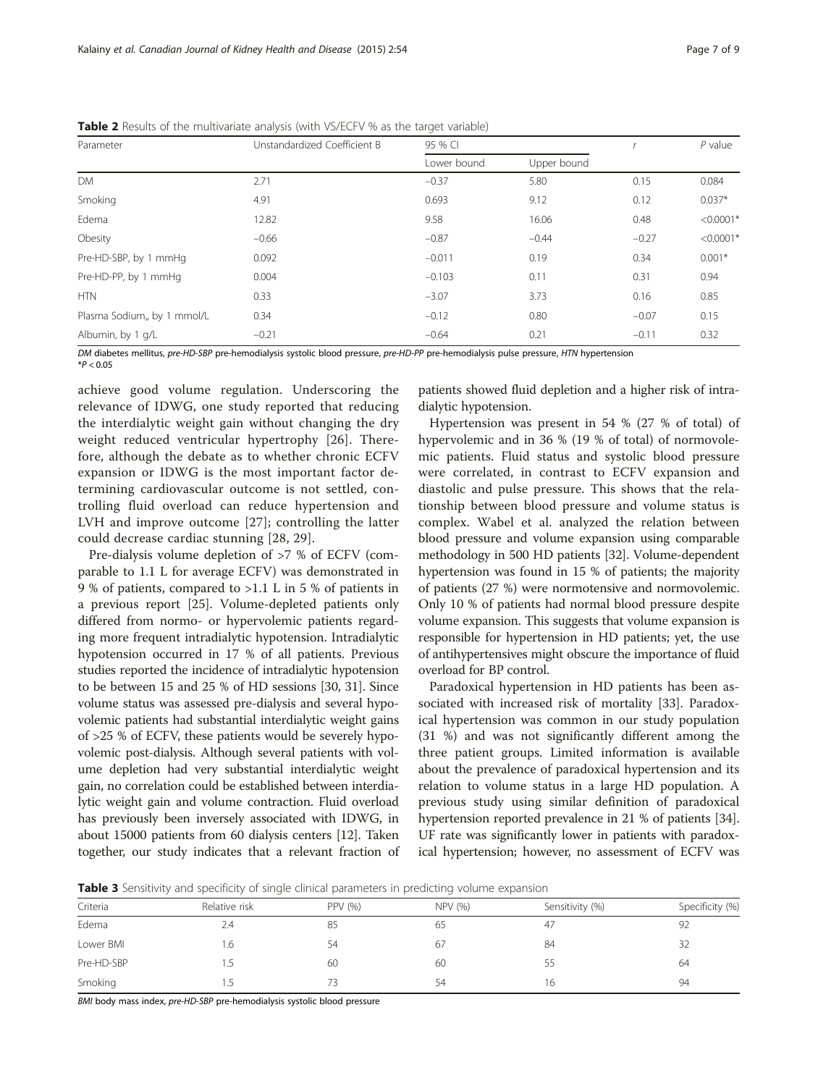| Parameter                   | Unstandardized Coefficient B | 95 % CI     |             |         | $P$ value   |
|-----------------------------|------------------------------|-------------|-------------|---------|-------------|
|                             |                              | Lower bound | Upper bound |         |             |
| <b>DM</b>                   | 2.71                         | $-0.37$     | 5.80        | 0.15    | 0.084       |
| Smoking                     | 4.91                         | 0.693       | 9.12        | 0.12    | $0.037*$    |
| Edema                       | 12.82                        | 9.58        | 16.06       | 0.48    | $< 0.0001*$ |
| Obesity                     | $-0.66$                      | $-0.87$     | $-0.44$     | $-0.27$ | $< 0.0001*$ |
| Pre-HD-SBP, by 1 mmHq       | 0.092                        | $-0.011$    | 0.19        | 0.34    | $0.001*$    |
| Pre-HD-PP, by 1 mmHg        | 0.004                        | $-0.103$    | 0.11        | 0.31    | 0.94        |
| <b>HTN</b>                  | 0.33                         | $-3.07$     | 3.73        | 0.16    | 0.85        |
| Plasma Sodium,, by 1 mmol/L | 0.34                         | $-0.12$     | 0.80        | $-0.07$ | 0.15        |
| Albumin, by 1 g/L           | $-0.21$                      | $-0.64$     | 0.21        | $-0.11$ | 0.32        |

<span id="page-6-0"></span>Table 2 Results of the multivariate analysis (with VS/ECFV % as the target variable)

DM diabetes mellitus, pre-HD-SBP pre-hemodialysis systolic blood pressure, pre-HD-PP pre-hemodialysis pulse pressure, HTN hypertension  $*P < 0.05$ 

achieve good volume regulation. Underscoring the relevance of IDWG, one study reported that reducing the interdialytic weight gain without changing the dry weight reduced ventricular hypertrophy [[26\]](#page-8-0). Therefore, although the debate as to whether chronic ECFV expansion or IDWG is the most important factor determining cardiovascular outcome is not settled, controlling fluid overload can reduce hypertension and LVH and improve outcome [[27\]](#page-8-0); controlling the latter could decrease cardiac stunning [\[28, 29\]](#page-8-0).

Pre-dialysis volume depletion of >7 % of ECFV (comparable to 1.1 L for average ECFV) was demonstrated in 9 % of patients, compared to >1.1 L in 5 % of patients in a previous report [[25\]](#page-8-0). Volume-depleted patients only differed from normo- or hypervolemic patients regarding more frequent intradialytic hypotension. Intradialytic hypotension occurred in 17 % of all patients. Previous studies reported the incidence of intradialytic hypotension to be between 15 and 25 % of HD sessions [\[30](#page-8-0), [31\]](#page-8-0). Since volume status was assessed pre-dialysis and several hypovolemic patients had substantial interdialytic weight gains of >25 % of ECFV, these patients would be severely hypovolemic post-dialysis. Although several patients with volume depletion had very substantial interdialytic weight gain, no correlation could be established between interdialytic weight gain and volume contraction. Fluid overload has previously been inversely associated with IDWG, in about 15000 patients from 60 dialysis centers [\[12\]](#page-8-0). Taken together, our study indicates that a relevant fraction of

patients showed fluid depletion and a higher risk of intradialytic hypotension.

Hypertension was present in 54 % (27 % of total) of hypervolemic and in 36 % (19 % of total) of normovolemic patients. Fluid status and systolic blood pressure were correlated, in contrast to ECFV expansion and diastolic and pulse pressure. This shows that the relationship between blood pressure and volume status is complex. Wabel et al. analyzed the relation between blood pressure and volume expansion using comparable methodology in 500 HD patients [\[32](#page-8-0)]. Volume-dependent hypertension was found in 15 % of patients; the majority of patients (27 %) were normotensive and normovolemic. Only 10 % of patients had normal blood pressure despite volume expansion. This suggests that volume expansion is responsible for hypertension in HD patients; yet, the use of antihypertensives might obscure the importance of fluid overload for BP control.

Paradoxical hypertension in HD patients has been associated with increased risk of mortality [[33](#page-8-0)]. Paradoxical hypertension was common in our study population (31 %) and was not significantly different among the three patient groups. Limited information is available about the prevalence of paradoxical hypertension and its relation to volume status in a large HD population. A previous study using similar definition of paradoxical hypertension reported prevalence in 21 % of patients [[34](#page-8-0)]. UF rate was significantly lower in patients with paradoxical hypertension; however, no assessment of ECFV was

**Table 3** Sensitivity and specificity of single clinical parameters in predicting volume expansion

| Criteria   | Relative risk | <b>PPV (%)</b> | NPV (%) | Sensitivity (%) | Specificity (%) |  |  |
|------------|---------------|----------------|---------|-----------------|-----------------|--|--|
| Edema      | 2.4           | 85             | 65      | 47              | 92              |  |  |
| Lower BMI  | i .6          | 54             | 67      | 84              | 32              |  |  |
| Pre-HD-SBP | L.            | 60             | 60      | לל              | 64              |  |  |
| Smoking    |               |                | 54      | 16              | 94              |  |  |

BMI body mass index, pre-HD-SBP pre-hemodialysis systolic blood pressure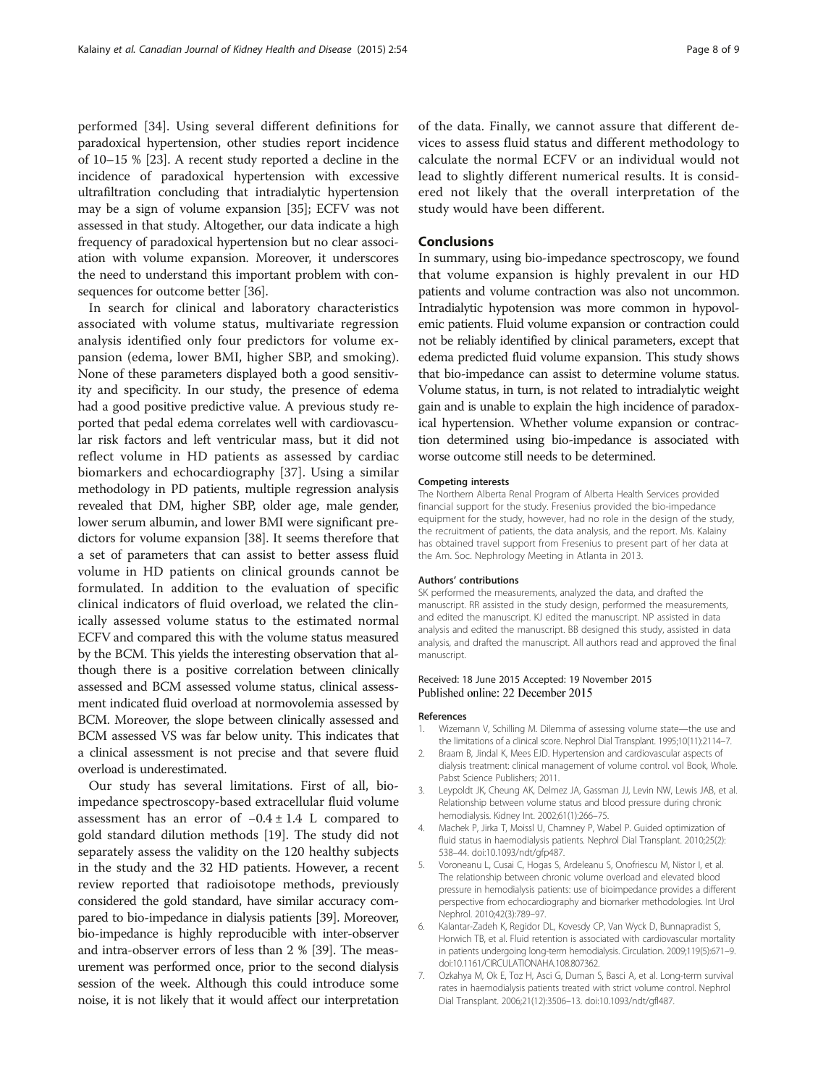<span id="page-7-0"></span>performed [[34](#page-8-0)]. Using several different definitions for paradoxical hypertension, other studies report incidence of 10–15 % [\[23\]](#page-8-0). A recent study reported a decline in the incidence of paradoxical hypertension with excessive ultrafiltration concluding that intradialytic hypertension may be a sign of volume expansion [[35](#page-8-0)]; ECFV was not assessed in that study. Altogether, our data indicate a high frequency of paradoxical hypertension but no clear association with volume expansion. Moreover, it underscores the need to understand this important problem with consequences for outcome better [[36](#page-8-0)].

In search for clinical and laboratory characteristics associated with volume status, multivariate regression analysis identified only four predictors for volume expansion (edema, lower BMI, higher SBP, and smoking). None of these parameters displayed both a good sensitivity and specificity. In our study, the presence of edema had a good positive predictive value. A previous study reported that pedal edema correlates well with cardiovascular risk factors and left ventricular mass, but it did not reflect volume in HD patients as assessed by cardiac biomarkers and echocardiography [[37](#page-8-0)]. Using a similar methodology in PD patients, multiple regression analysis revealed that DM, higher SBP, older age, male gender, lower serum albumin, and lower BMI were significant predictors for volume expansion [\[38\]](#page-8-0). It seems therefore that a set of parameters that can assist to better assess fluid volume in HD patients on clinical grounds cannot be formulated. In addition to the evaluation of specific clinical indicators of fluid overload, we related the clinically assessed volume status to the estimated normal ECFV and compared this with the volume status measured by the BCM. This yields the interesting observation that although there is a positive correlation between clinically assessed and BCM assessed volume status, clinical assessment indicated fluid overload at normovolemia assessed by BCM. Moreover, the slope between clinically assessed and BCM assessed VS was far below unity. This indicates that a clinical assessment is not precise and that severe fluid overload is underestimated.

Our study has several limitations. First of all, bioimpedance spectroscopy-based extracellular fluid volume assessment has an error of  $-0.4 \pm 1.4$  L compared to gold standard dilution methods [\[19](#page-8-0)]. The study did not separately assess the validity on the 120 healthy subjects in the study and the 32 HD patients. However, a recent review reported that radioisotope methods, previously considered the gold standard, have similar accuracy compared to bio-impedance in dialysis patients [\[39](#page-8-0)]. Moreover, bio-impedance is highly reproducible with inter-observer and intra-observer errors of less than 2 % [\[39](#page-8-0)]. The measurement was performed once, prior to the second dialysis session of the week. Although this could introduce some noise, it is not likely that it would affect our interpretation of the data. Finally, we cannot assure that different devices to assess fluid status and different methodology to calculate the normal ECFV or an individual would not lead to slightly different numerical results. It is considered not likely that the overall interpretation of the study would have been different.

#### **Conclusions**

In summary, using bio-impedance spectroscopy, we found that volume expansion is highly prevalent in our HD patients and volume contraction was also not uncommon. Intradialytic hypotension was more common in hypovolemic patients. Fluid volume expansion or contraction could not be reliably identified by clinical parameters, except that edema predicted fluid volume expansion. This study shows that bio-impedance can assist to determine volume status. Volume status, in turn, is not related to intradialytic weight gain and is unable to explain the high incidence of paradoxical hypertension. Whether volume expansion or contraction determined using bio-impedance is associated with worse outcome still needs to be determined.

#### Competing interests

The Northern Alberta Renal Program of Alberta Health Services provided financial support for the study. Fresenius provided the bio-impedance equipment for the study, however, had no role in the design of the study, the recruitment of patients, the data analysis, and the report. Ms. Kalainy has obtained travel support from Fresenius to present part of her data at the Am. Soc. Nephrology Meeting in Atlanta in 2013.

#### Authors' contributions

SK performed the measurements, analyzed the data, and drafted the manuscript. RR assisted in the study design, performed the measurements, and edited the manuscript. KJ edited the manuscript. NP assisted in data analysis and edited the manuscript. BB designed this study, assisted in data analysis, and drafted the manuscript. All authors read and approved the final manuscript.

#### Received: 18 June 2015 Accepted: 19 November 2015 Published online: 22 December 2015

#### References

- 1. Wizemann V, Schilling M. Dilemma of assessing volume state—the use and the limitations of a clinical score. Nephrol Dial Transplant. 1995;10(11):2114–7.
- 2. Braam B, Jindal K, Mees EJD. Hypertension and cardiovascular aspects of dialysis treatment: clinical management of volume control. vol Book, Whole. Pabst Science Publishers; 2011.
- 3. Leypoldt JK, Cheung AK, Delmez JA, Gassman JJ, Levin NW, Lewis JAB, et al. Relationship between volume status and blood pressure during chronic hemodialysis. Kidney Int. 2002;61(1):266–75.
- 4. Machek P, Jirka T, Moissl U, Chamney P, Wabel P. Guided optimization of fluid status in haemodialysis patients. Nephrol Dial Transplant. 2010;25(2): 538–44. doi:[10.1093/ndt/gfp487](http://dx.doi.org/10.1093/ndt/gfp487).
- 5. Voroneanu L, Cusai C, Hogas S, Ardeleanu S, Onofriescu M, Nistor I, et al. The relationship between chronic volume overload and elevated blood pressure in hemodialysis patients: use of bioimpedance provides a different perspective from echocardiography and biomarker methodologies. Int Urol Nephrol. 2010;42(3):789–97.
- 6. Kalantar-Zadeh K, Regidor DL, Kovesdy CP, Van Wyck D, Bunnapradist S, Horwich TB, et al. Fluid retention is associated with cardiovascular mortality in patients undergoing long-term hemodialysis. Circulation. 2009;119(5):671–9. doi:[10.1161/CIRCULATIONAHA.108.807362.](http://dx.doi.org/10.1161/CIRCULATIONAHA.108.807362)
- 7. Ozkahya M, Ok E, Toz H, Asci G, Duman S, Basci A, et al. Long-term survival rates in haemodialysis patients treated with strict volume control. Nephrol Dial Transplant. 2006;21(12):3506–13. doi[:10.1093/ndt/gfl487](http://dx.doi.org/10.1093/ndt/gfl487).